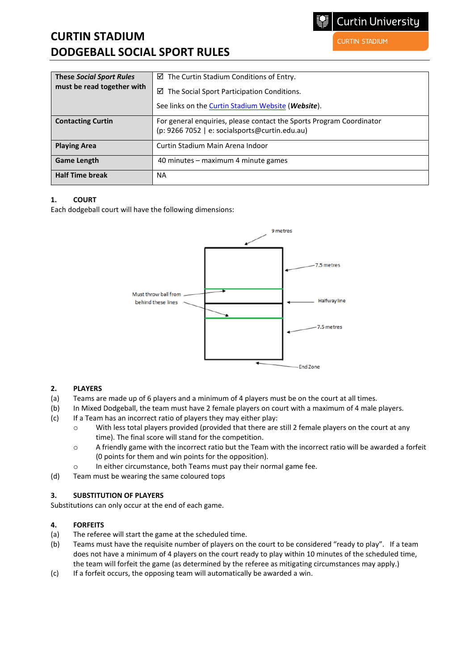# **CURTIN STADIUM DODGEBALL SOCIAL SPORT RULES**

**Curtin University** 

**CURTIN STADIUM** 

| <b>These Social Sport Rules</b> | $\boxtimes$ The Curtin Stadium Conditions of Entry.                                                                    |
|---------------------------------|------------------------------------------------------------------------------------------------------------------------|
| must be read together with      | $\boxtimes$ The Social Sport Participation Conditions.                                                                 |
|                                 | See links on the <b>Curtin Stadium Website</b> ( <i>Website</i> ).                                                     |
| <b>Contacting Curtin</b>        | For general enquiries, please contact the Sports Program Coordinator<br>(p: 9266 7052   e: socialsports@curtin.edu.au) |
| <b>Playing Area</b>             | Curtin Stadium Main Arena Indoor                                                                                       |
| <b>Game Length</b>              | 40 minutes – maximum 4 minute games                                                                                    |
| <b>Half Time break</b>          | <b>NA</b>                                                                                                              |

# **1. COURT**

Each dodgeball court will have the following dimensions:



### **2. PLAYERS**

- (a) Teams are made up of 6 players and a minimum of 4 players must be on the court at all times.
- (b) In Mixed Dodgeball, the team must have 2 female players on court with a maximum of 4 male players.
- (c) If a Team has an incorrect ratio of players they may either play:
	- o With less total players provided (provided that there are still 2 female players on the court at any time). The final score will stand for the competition.
	- o A friendly game with the incorrect ratio but the Team with the incorrect ratio will be awarded a forfeit (0 points for them and win points for the opposition).
	- o In either circumstance, both Teams must pay their normal game fee.
- (d) Team must be wearing the same coloured tops

### **3. SUBSTITUTION OF PLAYERS**

Substitutions can only occur at the end of each game.

### **4. FORFEITS**

- (a) The referee will start the game at the scheduled time.
- (b) Teams must have the requisite number of players on the court to be considered "ready to play". If a team does not have a minimum of 4 players on the court ready to play within 10 minutes of the scheduled time, the team will forfeit the game (as determined by the referee as mitigating circumstances may apply.)
- (c) If a forfeit occurs, the opposing team will automatically be awarded a win.